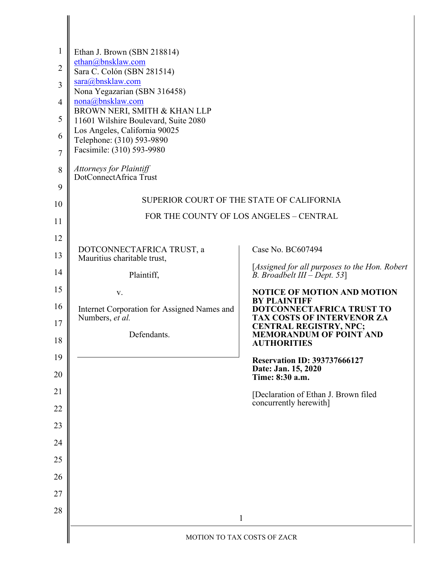| $\mathbf{1}$   | Ethan J. Brown (SBN 218814)                                          |                                                                                  |  |
|----------------|----------------------------------------------------------------------|----------------------------------------------------------------------------------|--|
| $\overline{2}$ | ethan@bnsklaw.com<br>Sara C. Colón (SBN 281514)                      |                                                                                  |  |
| 3              | sara@bnsklaw.com                                                     |                                                                                  |  |
| $\overline{4}$ | Nona Yegazarian (SBN 316458)<br>nona@bnsklaw.com                     |                                                                                  |  |
| 5              | BROWN NERI, SMITH & KHAN LLP<br>11601 Wilshire Boulevard, Suite 2080 |                                                                                  |  |
| 6              | Los Angeles, California 90025<br>Telephone: (310) 593-9890           |                                                                                  |  |
| $\overline{7}$ | Facsimile: (310) 593-9980                                            |                                                                                  |  |
| 8              | Attorneys for Plaintiff<br>DotConnectAfrica Trust                    |                                                                                  |  |
| 9              |                                                                      |                                                                                  |  |
| 10             | SUPERIOR COURT OF THE STATE OF CALIFORNIA                            |                                                                                  |  |
| 11             |                                                                      | FOR THE COUNTY OF LOS ANGELES - CENTRAL                                          |  |
| 12             |                                                                      |                                                                                  |  |
| 13             | DOTCONNECTAFRICA TRUST, a<br>Mauritius charitable trust,             | Case No. BC607494                                                                |  |
| 14             | Plaintiff,                                                           | [Assigned for all purposes to the Hon. Robert<br>B. Broadbelt $III - Dept. 53$ ] |  |
| 15             | V.                                                                   | <b>NOTICE OF MOTION AND MOTION</b><br><b>BY PLAINTIFF</b>                        |  |
| 16             | Internet Corporation for Assigned Names and<br>Numbers, et al.       | DOTCONNECTAFRICA TRUST TO<br>TAX COSTS OF INTERVENOR ZA                          |  |
| 17             | Defendants.                                                          | <b>CENTRAL REGISTRY, NPC;</b><br><b>MEMORANDUM OF POINT AND</b>                  |  |
| 18             |                                                                      | <b>AUTHORITIES</b>                                                               |  |
| 19<br>20       |                                                                      | <b>Reservation ID: 393737666127</b><br>Date: Jan. 15, 2020                       |  |
| 21             |                                                                      | Time: 8:30 a.m.                                                                  |  |
| 22             |                                                                      | [Declaration of Ethan J. Brown filed<br>concurrently herewith]                   |  |
| 23             |                                                                      |                                                                                  |  |
| 24             |                                                                      |                                                                                  |  |
| 25             |                                                                      |                                                                                  |  |
| 26             |                                                                      |                                                                                  |  |
| 27             |                                                                      |                                                                                  |  |
| 28             |                                                                      |                                                                                  |  |
|                | $\mathbf{1}$                                                         |                                                                                  |  |
|                | MOTION TO TAX COSTS OF ZACR                                          |                                                                                  |  |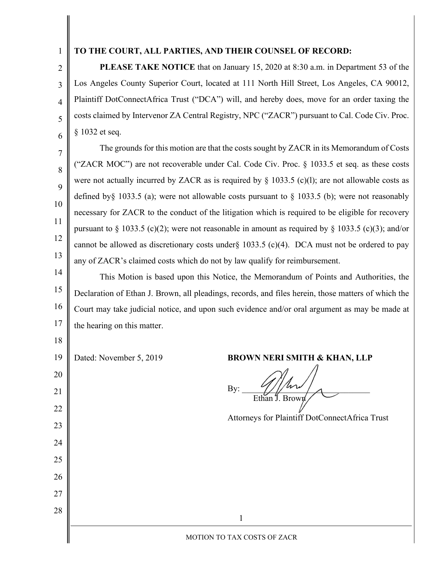1 2

3

4

5

6

7

8

9

10

11

12

13

## **TO THE COURT, ALL PARTIES, AND THEIR COUNSEL OF RECORD:**

**PLEASE TAKE NOTICE** that on January 15, 2020 at 8:30 a.m. in Department 53 of the Los Angeles County Superior Court, located at 111 North Hill Street, Los Angeles, CA 90012, Plaintiff DotConnectAfrica Trust ("DCA") will, and hereby does, move for an order taxing the costs claimed by Intervenor ZA Central Registry, NPC ("ZACR") pursuant to Cal. Code Civ. Proc. § 1032 et seq.

The grounds for this motion are that the costs sought by ZACR in its Memorandum of Costs ("ZACR MOC") are not recoverable under Cal. Code Civ. Proc. § 1033.5 et seq. as these costs were not actually incurred by ZACR as is required by  $\S$  1033.5 (c)(1); are not allowable costs as defined by § 1033.5 (a); were not allowable costs pursuant to § 1033.5 (b); were not reasonably necessary for ZACR to the conduct of the litigation which is required to be eligible for recovery pursuant to § 1033.5 (c)(2); were not reasonable in amount as required by § 1033.5 (c)(3); and/or cannot be allowed as discretionary costs under  $\{1033.5 \, (c)(4)$ . DCA must not be ordered to pay any of ZACR's claimed costs which do not by law qualify for reimbursement.

14 15 16 This Motion is based upon this Notice, the Memorandum of Points and Authorities, the Declaration of Ethan J. Brown, all pleadings, records, and files herein, those matters of which the Court may take judicial notice, and upon such evidence and/or oral argument as may be made at the hearing on this matter.

| 17 | the hearing on this matter. |                                                |
|----|-----------------------------|------------------------------------------------|
| 18 |                             |                                                |
| 19 | Dated: November 5, 2019     | <b>BROWN NERI SMITH &amp; KHAN, LLP</b>        |
| 20 |                             |                                                |
| 21 |                             | By:<br>Ethan J. Brown                          |
| 22 |                             |                                                |
| 23 |                             | Attorneys for Plaintiff DotConnectAfrica Trust |
| 24 |                             |                                                |
| 25 |                             |                                                |
| 26 |                             |                                                |
| 27 |                             |                                                |
| 28 |                             |                                                |
|    |                             | MOTION TO TAX COSTS OF ZACR                    |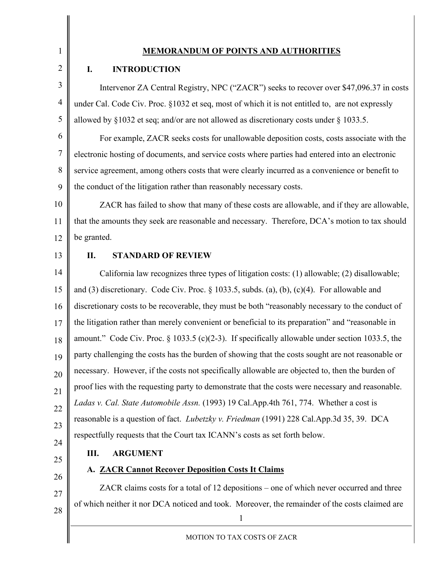1 2

## **MEMORANDUM OF POINTS AND AUTHORITIES**

## **I. INTRODUCTION**

3 4 5 Intervenor ZA Central Registry, NPC ("ZACR") seeks to recover over \$47,096.37 in costs under Cal. Code Civ. Proc. §1032 et seq, most of which it is not entitled to, are not expressly allowed by §1032 et seq; and/or are not allowed as discretionary costs under § 1033.5.

6 7 8 9 For example, ZACR seeks costs for unallowable deposition costs, costs associate with the electronic hosting of documents, and service costs where parties had entered into an electronic service agreement, among others costs that were clearly incurred as a convenience or benefit to the conduct of the litigation rather than reasonably necessary costs.

10 11 12 ZACR has failed to show that many of these costs are allowable, and if they are allowable, that the amounts they seek are reasonable and necessary. Therefore, DCA's motion to tax should be granted.

13

## **II. STANDARD OF REVIEW**

14 15 16 17 18 19 20 21 22 23 24 California law recognizes three types of litigation costs: (1) allowable; (2) disallowable; and  $(3)$  discretionary. Code Civ. Proc.  $\S$  1033.5, subds. (a), (b), (c)(4). For allowable and discretionary costs to be recoverable, they must be both "reasonably necessary to the conduct of the litigation rather than merely convenient or beneficial to its preparation" and "reasonable in amount." Code Civ. Proc. § 1033.5 (c)(2-3). If specifically allowable under section 1033.5, the party challenging the costs has the burden of showing that the costs sought are not reasonable or necessary. However, if the costs not specifically allowable are objected to, then the burden of proof lies with the requesting party to demonstrate that the costs were necessary and reasonable. *Ladas v. Cal. State Automobile Assn.* (1993) 19 Cal.App.4th 761, 774. Whether a cost is reasonable is a question of fact. *Lubetzky v. Friedman* (1991) 228 Cal.App.3d 35, 39. DCA respectfully requests that the Court tax ICANN's costs as set forth below.

25

# **III. ARGUMENT**

**A. ZACR Cannot Recover Deposition Costs It Claims**

26

27

28

1

of which neither it nor DCA noticed and took. Moreover, the remainder of the costs claimed are

ZACR claims costs for a total of 12 depositions – one of which never occurred and three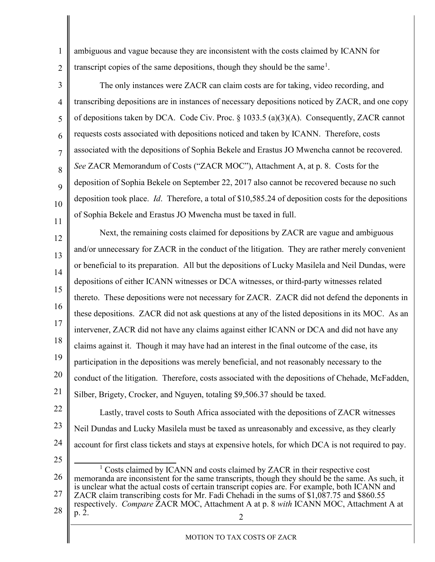ambiguous and vague because they are inconsistent with the costs claimed by ICANN for transcript copies of the same depositions, though they should be the same<sup>[1](#page-3-0)</sup>.

1

2

25

3 4 5 6 7 8 9 10 11 The only instances were ZACR can claim costs are for taking, video recording, and transcribing depositions are in instances of necessary depositions noticed by ZACR, and one copy of depositions taken by DCA. Code Civ. Proc.  $\S$  1033.5 (a)(3)(A). Consequently, ZACR cannot requests costs associated with depositions noticed and taken by ICANN. Therefore, costs associated with the depositions of Sophia Bekele and Erastus JO Mwencha cannot be recovered. *See* ZACR Memorandum of Costs ("ZACR MOC"), Attachment A, at p. 8. Costs for the deposition of Sophia Bekele on September 22, 2017 also cannot be recovered because no such deposition took place. *Id*. Therefore, a total of \$10,585.24 of deposition costs for the depositions of Sophia Bekele and Erastus JO Mwencha must be taxed in full.

12 13 14 15 16 17 18 19 20 21 Next, the remaining costs claimed for depositions by ZACR are vague and ambiguous and/or unnecessary for ZACR in the conduct of the litigation. They are rather merely convenient or beneficial to its preparation. All but the depositions of Lucky Masilela and Neil Dundas, were depositions of either ICANN witnesses or DCA witnesses, or third-party witnesses related thereto. These depositions were not necessary for ZACR. ZACR did not defend the deponents in these depositions. ZACR did not ask questions at any of the listed depositions in its MOC. As an intervener, ZACR did not have any claims against either ICANN or DCA and did not have any claims against it. Though it may have had an interest in the final outcome of the case, its participation in the depositions was merely beneficial, and not reasonably necessary to the conduct of the litigation. Therefore, costs associated with the depositions of Chehade, McFadden, Silber, Brigety, Crocker, and Nguyen, totaling \$9,506.37 should be taxed.

22 23 24 Lastly, travel costs to South Africa associated with the depositions of ZACR witnesses Neil Dundas and Lucky Masilela must be taxed as unreasonably and excessive, as they clearly account for first class tickets and stays at expensive hotels, for which DCA is not required to pay.

<span id="page-3-0"></span>2 26 27 28 <sup>1</sup> Costs claimed by ICANN and costs claimed by ZACR in their respective cost memoranda are inconsistent for the same transcripts, though they should be the same. As such, it is unclear what the actual costs of certain transcript copies are. For example, both ICANN and ZACR claim transcribing costs for Mr. Fadi Chehadi in the sums of \$1,087.75 and \$860.55 respectively. *Compare* ZACR MOC, Attachment A at p. 8 *with* ICANN MOC, Attachment A at p. 2.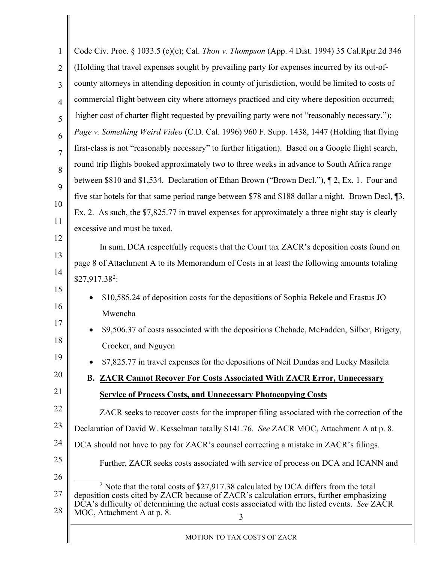<span id="page-4-0"></span>

| 1              | Code Civ. Proc. § 1033.5 (c)(e); Cal. Thon v. Thompson (App. 4 Dist. 1994) 35 Cal.Rptr.2d 346                                                                                     |  |  |  |
|----------------|-----------------------------------------------------------------------------------------------------------------------------------------------------------------------------------|--|--|--|
| $\overline{2}$ | (Holding that travel expenses sought by prevailing party for expenses incurred by its out-of-                                                                                     |  |  |  |
| 3              | county attorneys in attending deposition in county of jurisdiction, would be limited to costs of                                                                                  |  |  |  |
| $\overline{4}$ | commercial flight between city where attorneys practiced and city where deposition occurred;                                                                                      |  |  |  |
| 5              | higher cost of charter flight requested by prevailing party were not "reasonably necessary.");                                                                                    |  |  |  |
| 6              | Page v. Something Weird Video (C.D. Cal. 1996) 960 F. Supp. 1438, 1447 (Holding that flying                                                                                       |  |  |  |
| $\overline{7}$ | first-class is not "reasonably necessary" to further litigation). Based on a Google flight search,                                                                                |  |  |  |
| 8              | round trip flights booked approximately two to three weeks in advance to South Africa range                                                                                       |  |  |  |
| 9              | between \$810 and \$1,534. Declaration of Ethan Brown ("Brown Decl."), 1 2, Ex. 1. Four and                                                                                       |  |  |  |
| 10             | five star hotels for that same period range between \$78 and \$188 dollar a night. Brown Decl, 13,                                                                                |  |  |  |
| 11             | Ex. 2. As such, the \$7,825.77 in travel expenses for approximately a three night stay is clearly                                                                                 |  |  |  |
|                | excessive and must be taxed.                                                                                                                                                      |  |  |  |
| 12             | In sum, DCA respectfully requests that the Court tax ZACR's deposition costs found on                                                                                             |  |  |  |
| 13             | page 8 of Attachment A to its Memorandum of Costs in at least the following amounts totaling                                                                                      |  |  |  |
| 14             | $$27,917.38^2$ :                                                                                                                                                                  |  |  |  |
| 15             | \$10,585.24 of deposition costs for the depositions of Sophia Bekele and Erastus JO                                                                                               |  |  |  |
| 16             | Mwencha                                                                                                                                                                           |  |  |  |
| 17             | \$9,506.37 of costs associated with the depositions Chehade, McFadden, Silber, Brigety,                                                                                           |  |  |  |
| 18             | Crocker, and Nguyen                                                                                                                                                               |  |  |  |
| 19             | \$7,825.77 in travel expenses for the depositions of Neil Dundas and Lucky Masilela                                                                                               |  |  |  |
| 20             | <b>B. ZACR Cannot Recover For Costs Associated With ZACR Error, Unnecessary</b>                                                                                                   |  |  |  |
| 21             | <b>Service of Process Costs, and Unnecessary Photocopying Costs</b>                                                                                                               |  |  |  |
| 22             | ZACR seeks to recover costs for the improper filing associated with the correction of the                                                                                         |  |  |  |
| 23             | Declaration of David W. Kesselman totally \$141.76. See ZACR MOC, Attachment A at p. 8.                                                                                           |  |  |  |
| 24             | DCA should not have to pay for ZACR's counsel correcting a mistake in ZACR's filings.                                                                                             |  |  |  |
| 25             | Further, ZACR seeks costs associated with service of process on DCA and ICANN and                                                                                                 |  |  |  |
| 26             |                                                                                                                                                                                   |  |  |  |
| 27             | $2$ Note that the total costs of \$27,917.38 calculated by DCA differs from the total<br>deposition costs cited by ZACR because of ZACR's calculation errors, further emphasizing |  |  |  |
| 28             | DCA's difficulty of determining the actual costs associated with the listed events. See ZACR<br>MOC, Attachment A at p. 8.<br>3                                                   |  |  |  |
|                |                                                                                                                                                                                   |  |  |  |
|                | MOTION TO TAX COSTS OF ZACR                                                                                                                                                       |  |  |  |